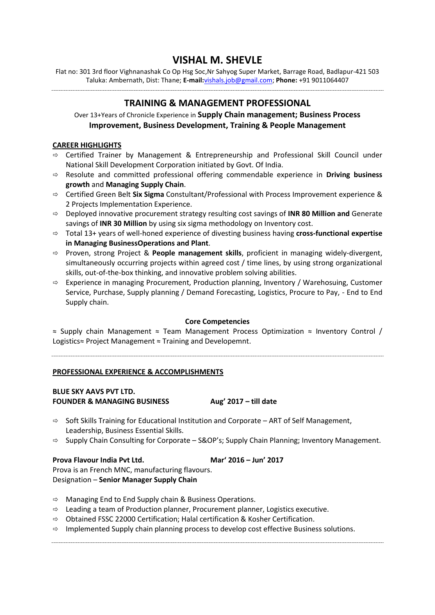# **VISHAL M. SHEVLE**

Flat no: 301 3rd floor Vighnanashak Co Op Hsg Soc,Nr Sahyog Super Market, Barrage Road, Badlapur-421 503 Taluka: Ambernath, Dist: Thane; **E-mail:**[vishals.job@gmail.com;](mailto:vishals.job@gmail.com) **Phone:** +91 9011064407

# **TRAINING & MANAGEMENT PROFESSIONAL**

Over 13+Years of Chronicle Experience in **Supply Chain management; Business Process Improvement, Business Development, Training & People Management**

# **CAREER HIGHLIGHTS**

- $\Rightarrow$  Certified Trainer by Management & Entrepreneurship and Professional Skill Council under National Skill Development Corporation initiated by Govt. Of India.
- Resolute and committed professional offering commendable experience in **Driving business growth** and **Managing Supply Chain**.
- Certified Green Belt **Six Sigma** Constultant/Professional with Process Improvement experience & 2 Projects Implementation Experience.
- Deployed innovative procurement strategy resulting cost savings of **INR 80 Million and** Generate savings of **INR 30 Million** by using six sigma methodology on Inventory cost.
- Total 13+ years of well-honed experience of divesting business having **cross-functional expertise in Managing BusinessOperations and Plant**.
- $\Rightarrow$  Proven, strong Project & **People management skills**, proficient in managing widely-divergent, simultaneously occurring projects within agreed cost / time lines, by using strong organizational skills, out-of-the-box thinking, and innovative problem solving abilities.
- $\Rightarrow$  Experience in managing Procurement, Production planning, Inventory / Warehosuing, Customer Service, Purchase, Supply planning / Demand Forecasting, Logistics, Procure to Pay, - End to End Supply chain.

# **Core Competencies**

≈ Supply chain Management ≈ Team Management Process Optimization ≈ Inventory Control / Logistics≈ Project Management ≈ Training and Developemnt.

# **PROFESSIONAL EXPERIENCE & ACCOMPLISHMENTS**

# **BLUE SKY AAVS PVT LTD. FOUNDER & MANAGING BUSINESS Aug' 2017 – till date**

- $\Rightarrow$  Soft Skills Training for Educational Institution and Corporate ART of Self Management, Leadership, Business Essential Skills.
- $\Rightarrow$  Supply Chain Consulting for Corporate S&OP's; Supply Chain Planning; Inventory Management.

# **Prova Flavour India Pvt Ltd. Mar' 2016 – Jun' 2017**

Prova is an French MNC, manufacturing flavours. Designation – **Senior Manager Supply Chain**

- $\Rightarrow$  Managing End to End Supply chain & Business Operations.
- $\Rightarrow$  Leading a team of Production planner, Procurement planner, Logistics executive.
- $\Rightarrow$  Obtained FSSC 22000 Certification; Halal certification & Kosher Certification.
- $\Rightarrow$  Implemented Supply chain planning process to develop cost effective Business solutions.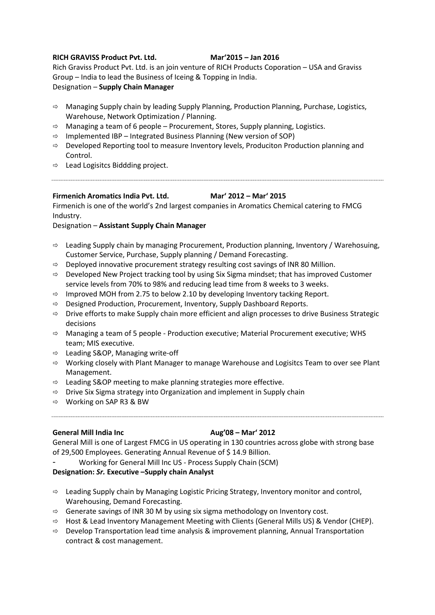### **RICH GRAVISS Product Pvt. Ltd. Mar'2015 – Jan 2016**

Rich Graviss Product Pvt. Ltd. is an join venture of RICH Products Coporation – USA and Graviss Group – India to lead the Business of Iceing & Topping in India.

Designation – **Supply Chain Manager**

- $\Rightarrow$  Managing Supply chain by leading Supply Planning, Production Planning, Purchase, Logistics, Warehouse, Network Optimization / Planning.
- $\Rightarrow$  Managing a team of 6 people Procurement, Stores, Supply planning, Logistics.
- $\Rightarrow$  Implemented IBP Integrated Business Planning (New version of SOP)
- $\Rightarrow$  Developed Reporting tool to measure Inventory levels, Produciton Production planning and Control.
- $\Rightarrow$  Lead Logisitcs Biddding project.

# **Firmenich Aromatics India Pvt. Ltd. Mar' 2012 – Mar' 2015**

Firmenich is one of the world's 2nd largest companies in Aromatics Chemical catering to FMCG Industry.

# Designation – **Assistant Supply Chain Manager**

- $\Rightarrow$  Leading Supply chain by managing Procurement, Production planning, Inventory / Warehosuing, Customer Service, Purchase, Supply planning / Demand Forecasting.
- $\Rightarrow$  Deployed innovative procurement strategy resulting cost savings of INR 80 Million.
- $\Rightarrow$  Developed New Project tracking tool by using Six Sigma mindset; that has improved Customer service levels from 70% to 98% and reducing lead time from 8 weeks to 3 weeks.
- $\Rightarrow$  Improved MOH from 2.75 to below 2.10 by developing Inventory tacking Report.
- $\Rightarrow$  Designed Production, Procurement, Inventory, Supply Dashboard Reports.
- $\Rightarrow$  Drive efforts to make Supply chain more efficient and align processes to drive Business Strategic decisions
- $\Rightarrow$  Managing a team of 5 people Production executive; Material Procurement executive; WHS team; MIS executive.
- $\Rightarrow$  Leading S&OP, Managing write-off
- $\Rightarrow$  Working closely with Plant Manager to manage Warehouse and Logisitcs Team to over see Plant Management.
- $\Rightarrow$  Leading S&OP meeting to make planning strategies more effective.
- $\Rightarrow$  Drive Six Sigma strategy into Organization and implement in Supply chain
- $\Rightarrow$  Working on SAP R3 & BW

### **General Mill India Inc Aug'08 – Mar' 2012**

General Mill is one of Largest FMCG in US operating in 130 countries across globe with strong base of 29,500 Employees. Generating Annual Revenue of \$14.9 Billion.

- Working for General Mill Inc US - Process Supply Chain (SCM)

# **Designation:** *Sr.* **Executive –Supply chain Analyst**

- $\Rightarrow$  Leading Supply chain by Managing Logistic Pricing Strategy, Inventory monitor and control, Warehousing, Demand Forecasting.
- $\Rightarrow$  Generate savings of INR 30 M by using six sigma methodology on Inventory cost.
- $\Rightarrow$  Host & Lead Inventory Management Meeting with Clients (General Mills US) & Vendor (CHEP).
- $\Rightarrow$  Develop Transportation lead time analysis & improvement planning, Annual Transportation contract & cost management.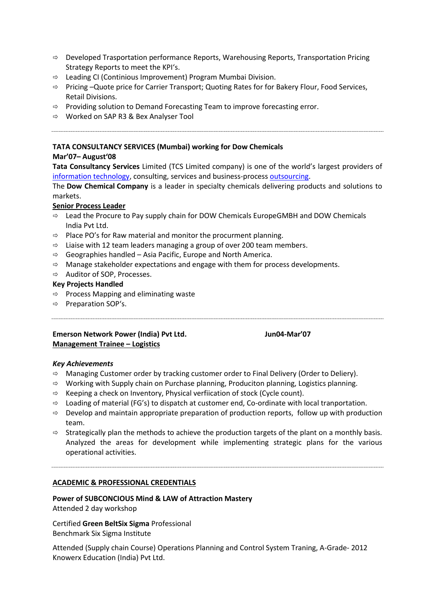- $\Rightarrow$  Developed Trasportation performance Reports, Warehousing Reports, Transportation Pricing Strategy Reports to meet the KPI's.
- $\Rightarrow$  Leading CI (Continious Improvement) Program Mumbai Division.
- $\Rightarrow$  Pricing –Quote price for Carrier Transport; Quoting Rates for for Bakery Flour, Food Services, Retail Divisions.
- $\Rightarrow$  Providing solution to Demand Forecasting Team to improve forecasting error.
- $\Rightarrow$  Worked on SAP R3 & Bex Analyser Tool

# **TATA CONSULTANCY SERVICES (Mumbai) working for Dow Chemicals**

# **Mar'07– August'08**

**Tata Consultancy Services** Limited (TCS Limited company) is one of the world's largest providers of [information technology,](http://en.wikipedia.org/wiki/Information_technology) consulting, services and business-process [outsourcing.](http://en.wikipedia.org/wiki/Outsourcing)

The **Dow Chemical Company** is a leader in specialty chemicals delivering products and solutions to markets.

# **Senior Process Leader**

- $\Rightarrow$  Lead the Procure to Pay supply chain for DOW Chemicals EuropeGMBH and DOW Chemicals India Pvt Ltd.
- $\Rightarrow$  Place PO's for Raw material and monitor the procurment planning.
- $\Rightarrow$  Liaise with 12 team leaders managing a group of over 200 team members.
- $\Rightarrow$  Geographies handled Asia Pacific, Europe and North America.
- $\Rightarrow$  Manage stakeholder expectations and engage with them for process developments.
- $\Rightarrow$  Auditor of SOP, Processes.

# **Key Projects Handled**

- $\Rightarrow$  Process Mapping and eliminating waste
- $\Rightarrow$  Preparation SOP's.

# **Emerson Network Power (India) Pvt Ltd. Jun04-Mar'07 Management Trainee – Logistics**

### *Key Achievements*

- $\Rightarrow$  Managing Customer order by tracking customer order to Final Delivery (Order to Deliery).
- $\Rightarrow$  Working with Supply chain on Purchase planning, Produciton planning, Logistics planning.
- $\Rightarrow$  Keeping a check on Inventory, Physical verfiication of stock (Cycle count).
- $\Rightarrow$  Loading of material (FG's) to dispatch at customer end, Co-ordinate with local tranportation.
- $\Rightarrow$  Develop and maintain appropriate preparation of production reports, follow up with production team.
- $\Rightarrow$  Strategically plan the methods to achieve the production targets of the plant on a monthly basis. Analyzed the areas for development while implementing strategic plans for the various operational activities.

### **ACADEMIC & PROFESSIONAL CREDENTIALS**

### **Power of SUBCONCIOUS Mind & LAW of Attraction Mastery**

Attended 2 day workshop

Certified **Green BeltSix Sigma** Professional Benchmark Six Sigma Institute

Attended (Supply chain Course) Operations Planning and Control System Traning, A-Grade- 2012 Knowerx Education (India) Pvt Ltd.